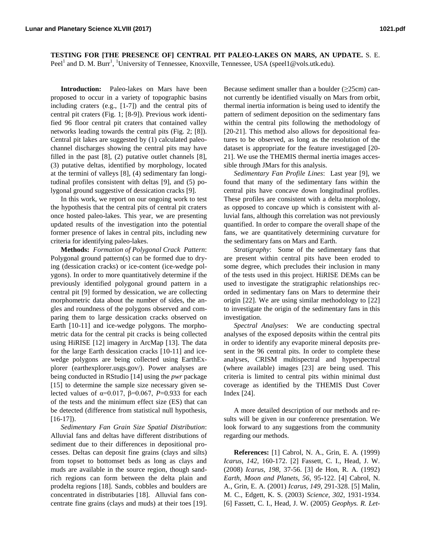**TESTING FOR [THE PRESENCE OF] CENTRAL PIT PALEO-LAKES ON MARS, AN UPDATE.** S. E. Peel<sup>1</sup> and D. M. Burr<sup>1</sup>, <sup>1</sup>University of Tennessee, Knoxville, Tennessee, USA (speel1@vols.utk.edu).

**Introduction:** Paleo-lakes on Mars have been proposed to occur in a variety of topographic basins including craters (e.g., [1-7]) and the central pits of central pit craters (Fig. 1; [8-9]). Previous work identified 96 floor central pit craters that contained valley networks leading towards the central pits (Fig. 2; [8]). Central pit lakes are suggested by (1) calculated paleochannel discharges showing the central pits may have filled in the past [8], (2) putative outlet channels [8], (3) putative deltas, identified by morphology, located at the termini of valleys [8], (4) sedimentary fan longitudinal profiles consistent with deltas [9], and (5) polygonal ground suggestive of dessication cracks [9].

In this work, we report on our ongoing work to test the hypothesis that the central pits of central pit craters once hosted paleo-lakes. This year, we are presenting updated results of the investigation into the potential former presence of lakes in central pits, including new criteria for identifying paleo-lakes.

**Methods:** *Formation of Polygonal Crack Pattern*: Polygonal ground pattern(s) can be formed due to drying (dessication cracks) or ice-content (ice-wedge polygons). In order to more quantitatively determine if the previously identified polygonal ground pattern in a central pit [9] formed by dessication, we are collecting morphometric data about the number of sides, the angles and roundness of the polygons observed and comparing them to large dessication cracks observed on Earth [10-11] and ice-wedge polygons. The morphometric data for the central pit cracks is being collected using HiRISE [12] imagery in ArcMap [13]. The data for the large Earth dessication cracks [10-11] and icewedge polygons are being collected using EarthExplorer (earthexplorer.usgs.gov/). Power analyses are being conducted in RStudio [14] using the *pwr* package [15] to determine the sample size necessary given selected values of  $\alpha=0.017$ ,  $\beta=0.067$ ,  $P=0.933$  for each of the tests and the minimum effect size (ES) that can be detected (difference from statistical null hypothesis, [16-17]).

*Sedimentary Fan Grain Size Spatial Distribution*: Alluvial fans and deltas have different distributions of sediment due to their differences in depositional processes. Deltas can deposit fine grains (clays and silts) from topset to bottomset beds as long as clays and muds are available in the source region, though sandrich regions can form between the delta plain and prodelta regions [18]. Sands, cobbles and boulders are concentrated in distributaries [18]. Alluvial fans concentrate fine grains (clays and muds) at their toes [19].

Because sediment smaller than a boulder  $(\geq 25$ cm) cannot currently be identified visually on Mars from orbit, thermal inertia information is being used to identify the pattern of sediment deposition on the sedimentary fans within the central pits following the methodology of [20-21]. This method also allows for depositional features to be observed, as long as the resolution of the dataset is appropriate for the feature investigaged [20- 21]. We use the THEMIS thermal inertia images accessible through JMars for this analysis.

*Sedimentary Fan Profile Lines*: Last year [9], we found that many of the sedimentary fans within the central pits have concave down longitudinal profiles. These profiles are consistent with a delta morphology, as opposed to concave up which is consistent with alluvial fans, although this correlation was not previously quantified. In order to compare the overall shape of the fans, we are quantitatively determining curvature for the sedimentary fans on Mars and Earth.

*Stratigraphy*: Some of the sedimentary fans that are present within central pits have been eroded to some degree, which precludes their inclusion in many of the tests used in this project. HiRISE DEMs can be used to investigate the stratigraphic relationships recorded in sedimentary fans on Mars to determine their origin [22]. We are using similar methodology to [22] to investigate the origin of the sedimentary fans in this investigation.

*Spectral Analyses*: We are conducting spectral analyses of the exposed deposits within the central pits in order to identify any evaporite mineral deposits present in the 96 central pits. In order to complete these analyses, CRISM multispectral and hyperspectral (where available) images [23] are being used. This criteria is limited to central pits within minimal dust coverage as identified by the THEMIS Dust Cover Index [24].

A more detailed description of our methods and results will be given in our conference presentation. We look forward to any suggestions from the community regarding our methods.

**References:** [1] Cabrol, N. A., Grin, E. A. (1999) *Icarus, 142,* 160-172. [2] Fassett, C. I., Head, J. W. (2008) *Icarus, 198,* 37-56. [3] de Hon, R. A. (1992) *Earth, Moon and Planets, 56,* 95-122. [4] Cabrol, N. A., Grin, E. A. (2001) *Icarus, 149,* 291-328. [5] Malin, M. C., Edgett, K. S. (2003) *Science, 302,* 1931-1934. [6] Fassett, C. I., Head, J. W. (2005) *Geophys. R. Let-*